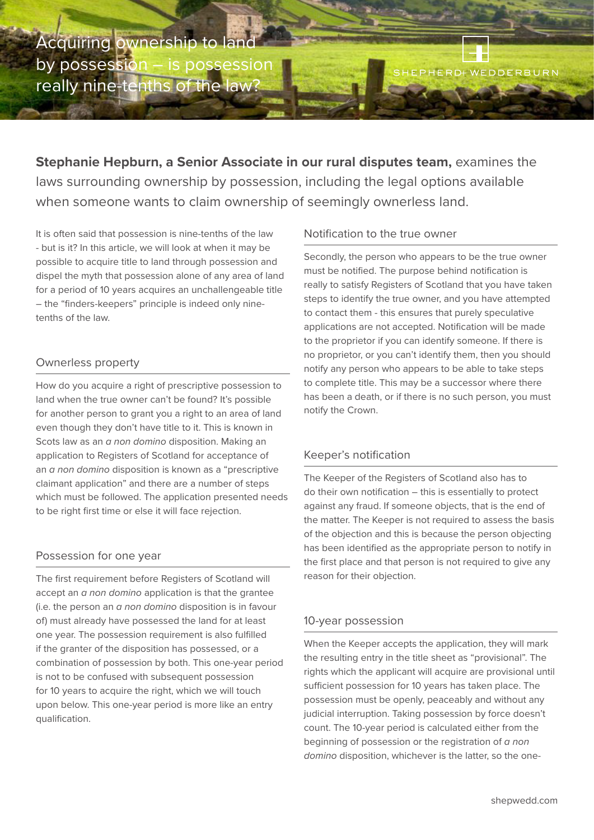Acquiring ownership to lar by possession – is possession really nine-tenths of the law?

EPHERD+ WEDDERBURN

**Stephanie Hepburn, a Senior Associate in our rural disputes team,** examines the laws surrounding ownership by possession, including the legal options available when someone wants to claim ownership of seemingly ownerless land.

It is often said that possession is nine-tenths of the law - but is it? In this article, we will look at when it may be possible to acquire title to land through possession and dispel the myth that possession alone of any area of land for a period of 10 years acquires an unchallengeable title – the "finders-keepers" principle is indeed only ninetenths of the law.

## Ownerless property

How do you acquire a right of prescriptive possession to land when the true owner can't be found? It's possible for another person to grant you a right to an area of land even though they don't have title to it. This is known in Scots law as an *a non domino* disposition. Making an application to Registers of Scotland for acceptance of an *a non domino* disposition is known as a "prescriptive claimant application" and there are a number of steps which must be followed. The application presented needs to be right first time or else it will face rejection.

## Possession for one year

The first requirement before Registers of Scotland will accept an *a non domino* application is that the grantee (i.e. the person an *a non domino* disposition is in favour of) must already have possessed the land for at least one year. The possession requirement is also fulfilled if the granter of the disposition has possessed, or a combination of possession by both. This one-year period is not to be confused with subsequent possession for 10 years to acquire the right, which we will touch upon below. This one-year period is more like an entry qualification.

## Notification to the true owner

Secondly, the person who appears to be the true owner must be notified. The purpose behind notification is really to satisfy Registers of Scotland that you have taken steps to identify the true owner, and you have attempted to contact them - this ensures that purely speculative applications are not accepted. Notification will be made to the proprietor if you can identify someone. If there is no proprietor, or you can't identify them, then you should notify any person who appears to be able to take steps to complete title. This may be a successor where there has been a death, or if there is no such person, you must notify the Crown.

## Keeper's notification

The Keeper of the Registers of Scotland also has to do their own notification – this is essentially to protect against any fraud. If someone objects, that is the end of the matter. The Keeper is not required to assess the basis of the objection and this is because the person objecting has been identified as the appropriate person to notify in the first place and that person is not required to give any reason for their objection.

## 10-year possession

When the Keeper accepts the application, they will mark the resulting entry in the title sheet as "provisional". The rights which the applicant will acquire are provisional until sufficient possession for 10 years has taken place. The possession must be openly, peaceably and without any judicial interruption. Taking possession by force doesn't count. The 10-year period is calculated either from the beginning of possession or the registration of *a non domino* disposition, whichever is the latter, so the one-